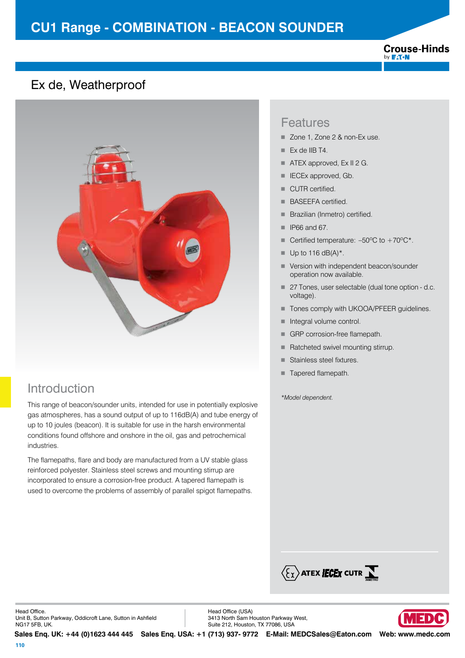# **CU1 Range - COMBINATION - BEACON SOUNDER**

#### **Crouse-Hinds** by **F:T.N**

### Ex de, Weatherproof



## Introduction

This range of beacon/sounder units, intended for use in potentially explosive gas atmospheres, has a sound output of up to 116dB(A) and tube energy of up to 10 joules (beacon). It is suitable for use in the harsh environmental conditions found offshore and onshore in the oil, gas and petrochemical industries.

The flamepaths, flare and body are manufactured from a UV stable glass reinforced polyester. Stainless steel screws and mounting stirrup are incorporated to ensure a corrosion-free product. A tapered flamepath is used to overcome the problems of assembly of parallel spigot flamepaths.

### Features

- Zone 1, Zone 2 & non-Ex use.
- $\blacksquare$  Ex de IIB T4.
- ATEX approved, Ex II 2 G.
- **E** IECEx approved, Gb.
- CUTR certified.
- BASEEFA certified.
- **Brazilian (Inmetro) certified.**
- $\blacksquare$  IP66 and 67.
- Certified temperature:  $-50^{\circ}$ C to  $+70^{\circ}$ C\*.
- $\blacksquare$  Up to 116 dB(A)\*.
- Version with independent beacon/sounder operation now available.
- 27 Tones, user selectable (dual tone option d.c. voltage).
- Tones comply with UKOOA/PFEER guidelines.
- $\blacksquare$  Integral volume control.
- GRP corrosion-free flamepath.
- Ratcheted swivel mounting stirrup.
- Stainless steel fixtures.
- Tapered flamepath.

*\*Model dependent.* 



Head Office. Unit B, Sutton Parkway, Oddicroft Lane, Sutton in Ashfield NG17 5FB, UK.

Head Office (USA) 3413 North Sam Houston Parkway West, Suite 212, Houston, TX 77086, USA

**Sales Enq. UK: +44 (0)1623 444 445 Sales Enq. USA: +1 (713) 937- 9772 E-Mail: MEDCSales@Eaton.com Web: www.medc.com** 

VED